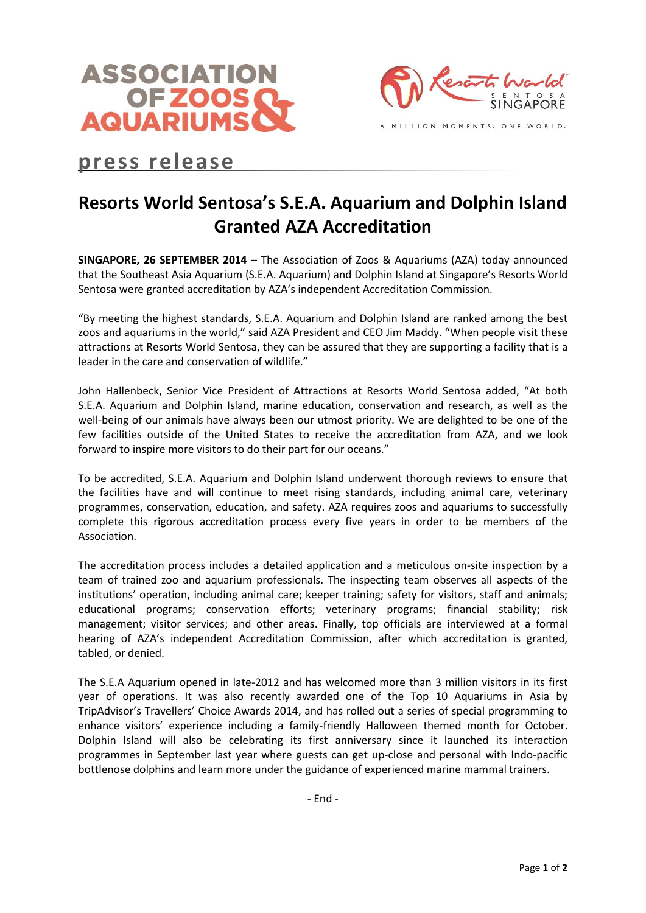



# **press release**

# **Resorts World Sentosa's S.E.A. Aquarium and Dolphin Island Granted AZA Accreditation**

**SINGAPORE, 26 SEPTEMBER 2014** – The Association of Zoos & Aquariums (AZA) today announced that the Southeast Asia Aquarium (S.E.A. Aquarium) and Dolphin Island at Singapore's Resorts World Sentosa were granted accreditation by AZA's independent Accreditation Commission.

"By meeting the highest standards, S.E.A. Aquarium and Dolphin Island are ranked among the best zoos and aquariums in the world," said AZA President and CEO Jim Maddy. "When people visit these attractions at Resorts World Sentosa, they can be assured that they are supporting a facility that is a leader in the care and conservation of wildlife."

John Hallenbeck, Senior Vice President of Attractions at Resorts World Sentosa added, "At both S.E.A. Aquarium and Dolphin Island, marine education, conservation and research, as well as the well-being of our animals have always been our utmost priority. We are delighted to be one of the few facilities outside of the United States to receive the accreditation from AZA, and we look forward to inspire more visitors to do their part for our oceans."

To be accredited, S.E.A. Aquarium and Dolphin Island underwent thorough reviews to ensure that the facilities have and will continue to meet rising standards, including animal care, veterinary programmes, conservation, education, and safety. AZA requires zoos and aquariums to successfully complete this rigorous accreditation process every five years in order to be members of the Association.

The accreditation process includes a detailed application and a meticulous on-site inspection by a team of trained zoo and aquarium professionals. The inspecting team observes all aspects of the institutions' operation, including animal care; keeper training; safety for visitors, staff and animals; educational programs; conservation efforts; veterinary programs; financial stability; risk management; visitor services; and other areas. Finally, top officials are interviewed at a formal hearing of AZA's independent Accreditation Commission, after which accreditation is granted, tabled, or denied.

The S.E.A Aquarium opened in late-2012 and has welcomed more than 3 million visitors in its first year of operations. It was also recently awarded one of the Top 10 Aquariums in Asia by TripAdvisor's Travellers' Choice Awards 2014, and has rolled out a series of special programming to enhance visitors' experience including a family-friendly Halloween themed month for October. Dolphin Island will also be celebrating its first anniversary since it launched its interaction programmes in September last year where guests can get up-close and personal with Indo-pacific bottlenose dolphins and learn more under the guidance of experienced marine mammal trainers.